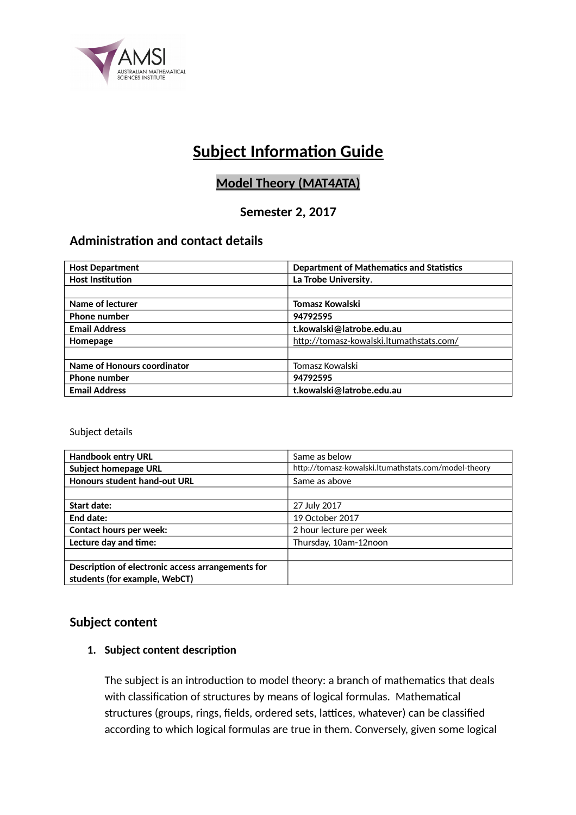

# **Subject Information Guide**

## **Model Theory (MAT4ATA)**

## **Semester 2, 2017**

## **Administration and contact details**

| <b>Host Department</b>             | <b>Department of Mathematics and Statistics</b> |  |
|------------------------------------|-------------------------------------------------|--|
| <b>Host Institution</b>            | La Trobe University.                            |  |
|                                    |                                                 |  |
| Name of lecturer                   | Tomasz Kowalski                                 |  |
| <b>Phone number</b>                | 94792595                                        |  |
| <b>Email Address</b>               | t.kowalski@latrobe.edu.au                       |  |
| Homepage                           | http://tomasz-kowalski.ltumathstats.com/        |  |
|                                    |                                                 |  |
| <b>Name of Honours coordinator</b> | Tomasz Kowalski                                 |  |
| <b>Phone number</b>                | 94792595                                        |  |
| <b>Email Address</b>               | t.kowalski@latrobe.edu.au                       |  |

Subject details

| <b>Handbook entry URL</b>                                                          | Same as below                                        |
|------------------------------------------------------------------------------------|------------------------------------------------------|
| <b>Subject homepage URL</b>                                                        | http://tomasz-kowalski.ltumathstats.com/model-theory |
| Honours student hand-out URL                                                       | Same as above                                        |
|                                                                                    |                                                      |
| Start date:                                                                        | 27 July 2017                                         |
| End date:                                                                          | 19 October 2017                                      |
| <b>Contact hours per week:</b>                                                     | 2 hour lecture per week                              |
| Lecture day and time:                                                              | Thursday, 10am-12noon                                |
|                                                                                    |                                                      |
| Description of electronic access arrangements for<br>students (for example, WebCT) |                                                      |
|                                                                                    |                                                      |

## **Subject content**

### **1. Subject content description**

The subject is an introduction to model theory: a branch of mathematics that deals with classification of structures by means of logical formulas. Mathematical structures (groups, rings, fields, ordered sets, lattices, whatever) can be classified according to which logical formulas are true in them. Conversely, given some logical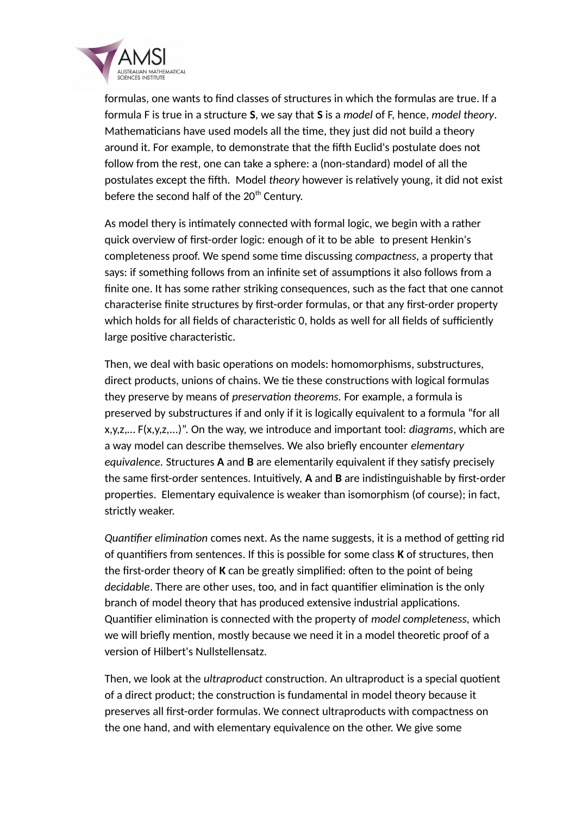

formulas, one wants to find classes of structures in which the formulas are true. If a formula F is true in a structure **S**, we say that **S** is a *model* of F, hence, *model theory*. Mathematicians have used models all the time, they just did not build a theory around it. For example, to demonstrate that the fifth Euclid's postulate does not follow from the rest, one can take a sphere: a (non-standard) model of all the postulates except the fifth. Model *theory* however is relatively young, it did not exist befere the second half of the 20<sup>th</sup> Century.

As model thery is intimately connected with formal logic, we begin with a rather quick overview of first-order logic: enough of it to be able to present Henkin's completeness proof. We spend some time discussing *compactness,* a property that says: if something follows from an infinite set of assumptions it also follows from a finite one. It has some rather striking consequences, such as the fact that one cannot characterise finite structures by first-order formulas, or that any first-order property which holds for all fields of characteristic 0, holds as well for all fields of sufficiently large positive characteristic.

Then, we deal with basic operations on models: homomorphisms, substructures, direct products, unions of chains. We tie these constructions with logical formulas they preserve by means of *preservation theorems.* For example, a formula is preserved by substructures if and only if it is logically equivalent to a formula "for all x,y,z,… F(x,y,z,...)". On the way, we introduce and important tool: *diagrams*, which are a way model can describe themselves. We also briefly encounter *elementary equivalence.* Structures **A** and **B** are elementarily equivalent if they satisfy precisely the same first-order sentences. Intuitively, **A** and **B** are indistinguishable by first-order properties. Elementary equivalence is weaker than isomorphism (of course); in fact, strictly weaker.

*Quantifier elimination* comes next. As the name suggests, it is a method of getting rid of quantifiers from sentences. If this is possible for some class **K** of structures, then the first-order theory of **K** can be greatly simplified: often to the point of being *decidable*. There are other uses, too, and in fact quantifier elimination is the only branch of model theory that has produced extensive industrial applications. Quantifier elimination is connected with the property of *model completeness,* which we will briefly mention, mostly because we need it in a model theoretic proof of a version of Hilbert's Nullstellensatz.

Then, we look at the *ultraproduct* construction. An ultraproduct is a special quotient of a direct product; the construction is fundamental in model theory because it preserves all first-order formulas. We connect ultraproducts with compactness on the one hand, and with elementary equivalence on the other. We give some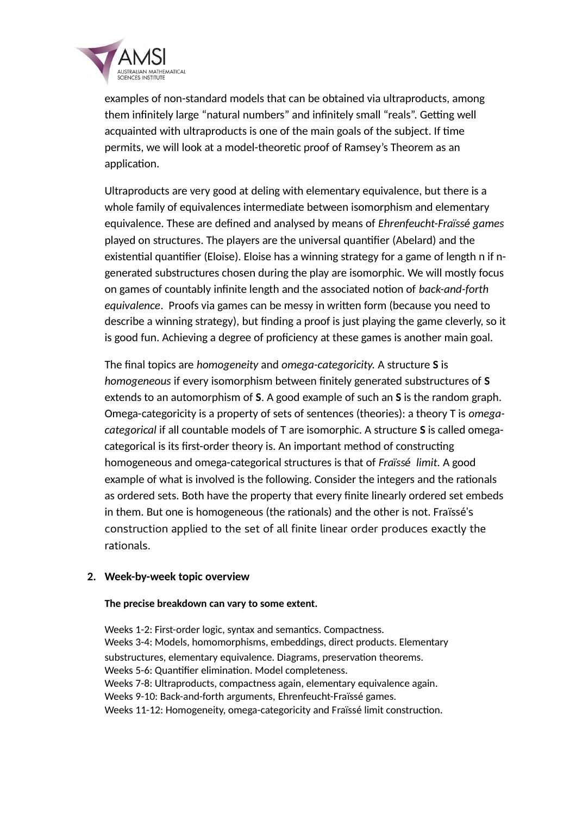

examples of non-standard models that can be obtained via ultraproducts, among them infinitely large "natural numbers" and infinitely small "reals". Getting well acquainted with ultraproducts is one of the main goals of the subject. If time permits, we will look at a model-theoretic proof of Ramsey's Theorem as an application.

Ultraproducts are very good at deling with elementary equivalence, but there is a whole family of equivalences intermediate between isomorphism and elementary equivalence. These are defined and analysed by means of *Ehrenfeucht-Fra*ï*ss*é *games* played on structures. The players are the universal quantifier (Abelard) and the existential quantifier (Eloise). Eloise has a winning strategy for a game of length n if ngenerated substructures chosen during the play are isomorphic. We will mostly focus on games of countably infinite length and the associated notion of *back-and-forth equivalence*. Proofs via games can be messy in written form (because you need to describe a winning strategy), but finding a proof is just playing the game cleverly, so it is good fun. Achieving a degree of proficiency at these games is another main goal.

The final topics are *homogeneity* and *omega-categoricity.* A structure **S** is *homogeneous* if every isomorphism between finitely generated substructures of **S** extends to an automorphism of **S**. A good example of such an **S** is the random graph. Omega-categoricity is a property of sets of sentences (theories): a theory T is *omegacategorical* if all countable models of T are isomorphic. A structure **S** is called omegacategorical is its first-order theory is. An important method of constructing homogeneous and omega-categorical structures is that of *Fra*ï*ss*é *limit.* A good example of what is involved is the following. Consider the integers and the rationals as ordered sets. Both have the property that every finite linearly ordered set embeds in them. But one is homogeneous (the rationals) and the other is not. Fraïssé's construction applied to the set of all finite linear order produces exactly the rationals.

#### **2. Week-by-week topic overview**

#### **The precise breakdown can vary to some extent.**

Weeks 1-2: First-order logic, syntax and semantics. Compactness. Weeks 3-4: Models, homomorphisms, embeddings, direct products. Elementary substructures, elementary equivalence. Diagrams, preservation theorems. Weeks 5-6: Quantifier elimination. Model completeness. Weeks 7-8: Ultraproducts, compactness again, elementary equivalence again. Weeks 9-10: Back-and-forth arguments, Ehrenfeucht-Fraïssé games. Weeks 11-12: Homogeneity, omega-categoricity and Fraïssé limit construction.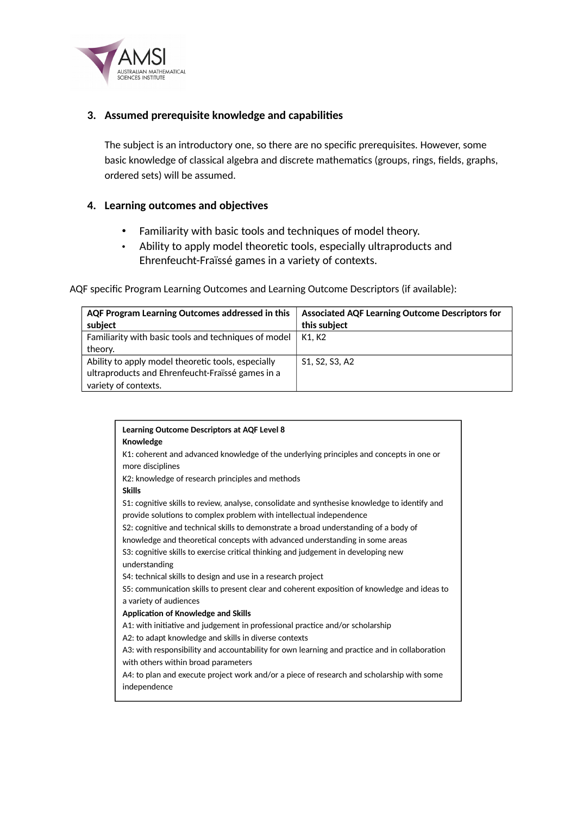

#### **3. Assumed prerequisite knowledge and capabilities**

The subject is an introductory one, so there are no specific prerequisites. However, some basic knowledge of classical algebra and discrete mathematics (groups, rings, fields, graphs, ordered sets) will be assumed.

#### **4. Learning outcomes and objectives**

- Familiarity with basic tools and techniques of model theory.
- Ability to apply model theoretic tools, especially ultraproducts and Ehrenfeucht-Fraïssé games in a variety of contexts.

AQF specific Program Learning Outcomes and Learning Outcome Descriptors (if available):

| AQF Program Learning Outcomes addressed in this      | <b>Associated AQF Learning Outcome Descriptors for</b> |  |
|------------------------------------------------------|--------------------------------------------------------|--|
| subject                                              | this subject                                           |  |
| Familiarity with basic tools and techniques of model | K1. K2                                                 |  |
| theory.                                              |                                                        |  |
| Ability to apply model theoretic tools, especially   | S1, S2, S3, A2                                         |  |
| ultraproducts and Ehrenfeucht-Fraïssé games in a     |                                                        |  |
| variety of contexts.                                 |                                                        |  |

| <b>Learning Outcome Descriptors at AQF Level 8</b><br>Knowledge                                                                                                      |
|----------------------------------------------------------------------------------------------------------------------------------------------------------------------|
| K1: coherent and advanced knowledge of the underlying principles and concepts in one or                                                                              |
| more disciplines<br>K2: knowledge of research principles and methods                                                                                                 |
| <b>Skills</b>                                                                                                                                                        |
| S1: cognitive skills to review, analyse, consolidate and synthesise knowledge to identify and<br>provide solutions to complex problem with intellectual independence |
| S2: cognitive and technical skills to demonstrate a broad understanding of a body of                                                                                 |
| knowledge and theoretical concepts with advanced understanding in some areas                                                                                         |
| S3: cognitive skills to exercise critical thinking and judgement in developing new<br>understanding                                                                  |
| S4: technical skills to design and use in a research project                                                                                                         |
| S5: communication skills to present clear and coherent exposition of knowledge and ideas to                                                                          |
| a variety of audiences                                                                                                                                               |
| Application of Knowledge and Skills                                                                                                                                  |
| A1: with initiative and judgement in professional practice and/or scholarship                                                                                        |
| A2: to adapt knowledge and skills in diverse contexts                                                                                                                |
| A3: with responsibility and accountability for own learning and practice and in collaboration                                                                        |
| with others within broad parameters                                                                                                                                  |
| A4: to plan and execute project work and/or a piece of research and scholarship with some                                                                            |
| independence                                                                                                                                                         |
|                                                                                                                                                                      |